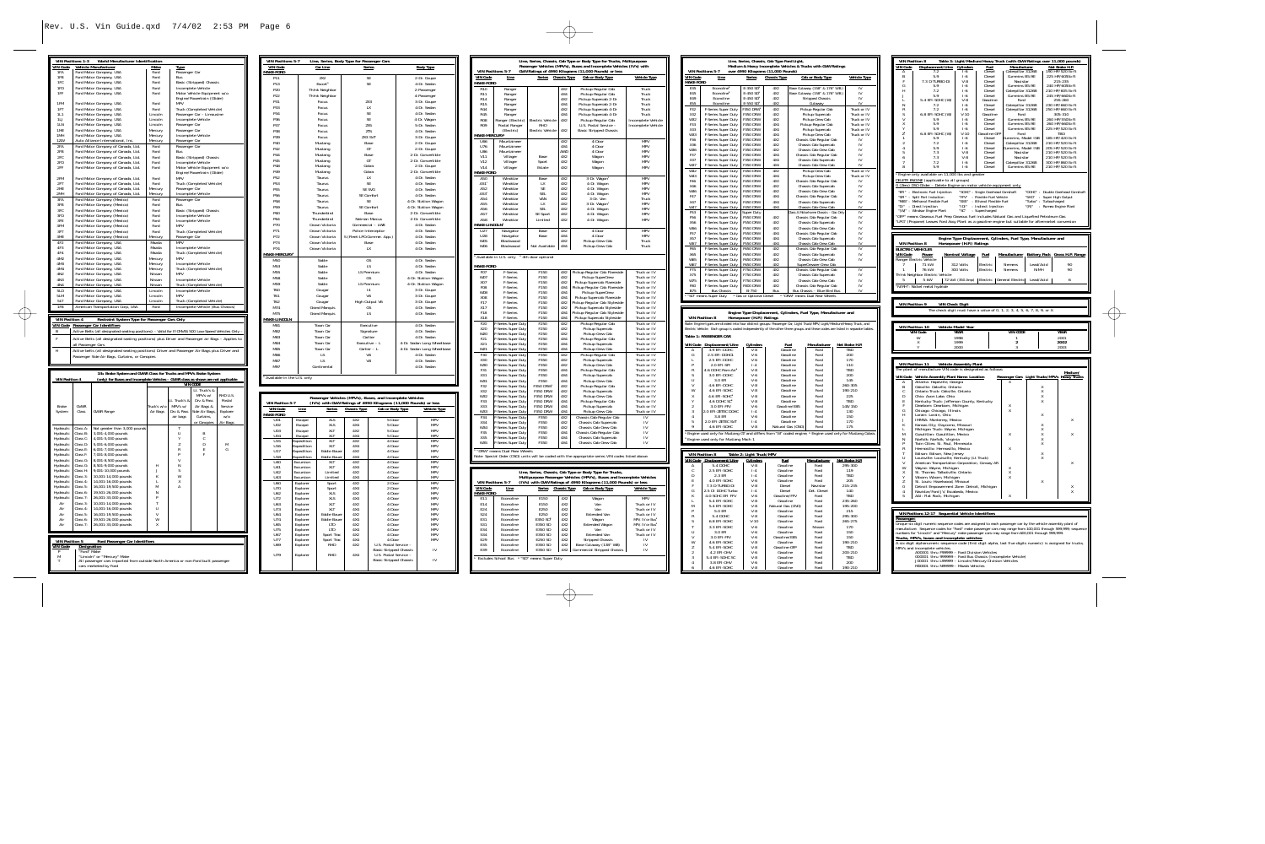|                        | <b>VIN Positions 1-3</b>   | World Manufacturer Identification                                                                           |                    |                                |                                                |                 |
|------------------------|----------------------------|-------------------------------------------------------------------------------------------------------------|--------------------|--------------------------------|------------------------------------------------|-----------------|
| <b>VIN Code</b>        |                            | Vehicle Manufacturer                                                                                        | Make               | <b>Type</b>                    |                                                |                 |
| 1FA<br>1FB             |                            | Ford Motor Company, USA<br>Ford Motor Company, USA                                                          | Ford<br>Ford       | Passenger Car<br>Bus           |                                                |                 |
| 1FC                    |                            | Ford Motor Company, USA                                                                                     | Ford               |                                | Basic (Stripped) Chassis                       |                 |
| 1FD                    |                            | Ford Motor Company, USA                                                                                     | Ford               |                                | Incomplete Vehicle                             |                 |
| 1FF                    |                            | Ford Motor Company, USA                                                                                     | Ford               |                                | Motor Vehicle Equipment w/o                    |                 |
| 1FM                    |                            | Ford Motor Company, USA                                                                                     | Ford               | MPV                            | Engine/Powertrain (Glider)                     |                 |
| 1FT                    |                            | Ford Motor Company, USA                                                                                     | Ford               |                                | Truck (Completed Vehicle)                      |                 |
| 1L1                    |                            | Ford Motor Company, USA                                                                                     | Lincoln            |                                | Passenger Car - Limousine                      |                 |
| 1 <sub>l</sub>         |                            | Ford Motor Company, USA                                                                                     | Lincoln            |                                | Incomplete Vehicle                             |                 |
| 1LN<br>1ME             |                            | Ford Motor Company, USA<br>Ford Motor Company, USA                                                          | Lincoln            | Passenger Car<br>Passenger Car |                                                |                 |
| 1MH                    |                            | Ford Motor Company, USA                                                                                     | Mercury<br>Mercury |                                | Incomplete Vehicle                             |                 |
| 1ZW                    |                            | Auto Alliance International, Inc.                                                                           | Mercury            | Passenger Car                  |                                                |                 |
| 2FA                    |                            | Ford Motor Company of Canada, Ltd.                                                                          | Ford               | Passenger Car                  |                                                |                 |
| 2FB<br>2FC             |                            | Ford Motor Company of Canada, Ltd.<br>Ford Motor Company of Canada, Ltd.                                    | Ford<br>Ford       | Bus                            | Basic (Stripped) Chassis                       |                 |
| 2FD                    |                            | Ford Motor Company of Canada, Ltd.                                                                          | Ford               |                                | Incomplete Vehicle                             |                 |
| 2FF                    |                            | Ford Motor Company of Canada, Ltd.                                                                          | Ford               |                                | Motor Vehicle Equipment w/o                    |                 |
|                        |                            |                                                                                                             |                    |                                | Engine/Powertrain (Glider)                     |                 |
| 2FM<br>2FT             |                            | Ford Motor Company of Canada, Ltd.<br>Ford Motor Company of Canada, Ltd.                                    | Ford<br>Ford       | MPV                            | Truck (Completed Vehicle)                      |                 |
| 2ME                    |                            | Ford Motor Company of Canada, Ltd.                                                                          | Mercury            | Passenger Car                  |                                                |                 |
| 2MH                    |                            | Ford Motor Company of Canada, Ltd.                                                                          | Mercury            |                                | Incomplete Vehicle                             |                 |
| 3FA                    |                            | Ford Motor Company (Mexico)                                                                                 | Ford               | Passenger Car                  |                                                |                 |
| 3FB                    |                            | Ford Motor Company (Mexico)                                                                                 | Ford               | Bus                            |                                                |                 |
| 3FC<br>3FD             |                            | Ford Motor Company (Mexico)<br>Ford Motor Company (Mexico)                                                  | Ford<br>Ford       |                                | Basic (Stripped) Chassis<br>Incomplete Vehicle |                 |
| 3FE                    |                            | Ford Motor Company (Mexico)                                                                                 | Ford               |                                | Incomplete Vehicle                             |                 |
| 3FM                    |                            | Ford Motor Company (Mexico)                                                                                 | Ford               | MPV                            |                                                |                 |
| 3FT                    |                            | Ford Motor Company (Mexico)                                                                                 | Ford               |                                | Truck (Completed Vehicle)                      |                 |
| 3ME<br>4F <sub>2</sub> |                            | Ford Motor Company (Mexico)<br>Ford Motor Company, USA                                                      | Mercury<br>Mazda   | Passenger Car<br><b>MPV</b>    |                                                |                 |
| 4F3                    |                            | Ford Motor Company, USA                                                                                     | Mazda              |                                | Incomplete Vehicle                             |                 |
| 4F4                    |                            | Ford Motor Company, USA                                                                                     | Mazda              |                                | Truck (Completed Vehicle)                      |                 |
| 4M2                    |                            | Ford Motor Company, USA                                                                                     | Mercury            | MPV                            |                                                |                 |
| 4M3<br>4M4             |                            | Ford Motor Company, USA                                                                                     | Mercury            |                                | Incomplete Vehicle                             |                 |
| 4N2                    |                            | Ford Motor Company, USA<br>Ford Motor Company, USA                                                          | Mercury<br>Nissan  | MPV                            | Truck (Completed Vehicle)                      |                 |
| 4N3                    |                            | Ford Motor Company, USA                                                                                     | Nissan             |                                | Incomplete Vehicle                             |                 |
| 4N4                    |                            | Ford Motor Company, USA                                                                                     | Nissan             |                                | Truck (Completed Vehicle)                      |                 |
| 51 D<br>5LM            |                            | Ford Motor Company, USA                                                                                     | Lincoln<br>Lincoln | MPV                            | Incomplete Vehicle                             |                 |
| 5LT                    |                            | Ford Motor Company, USA<br>Ford Motor Company, USA                                                          | Lincoln            |                                | Truck (Completed Vehicle)                      |                 |
| 1F <sub>8</sub>        |                            | American Transportation Corp, USA                                                                           | Ford               |                                | Incomplete Vehicle (Bus Chassis)               |                 |
|                        |                            |                                                                                                             |                    |                                |                                                |                 |
|                        |                            |                                                                                                             |                    |                                |                                                |                 |
| <b>VIN Position 4</b>  |                            | Restraint System Type for Passenger Cars Only                                                               |                    |                                |                                                |                 |
| <b>VIN Code</b>        |                            | Passenger Car Identifiers                                                                                   |                    |                                |                                                |                 |
| R                      |                            | Active Belts (all designated seating positions) - Valid for F/CMVSS 500 Low-Speed Vehicles Only -           |                    |                                |                                                |                 |
| F                      |                            | Active Belts (all designated seating positions) plus Driver and Passenger air Bags - Applies to             |                    |                                |                                                |                 |
|                        | all Passenger Cars         |                                                                                                             |                    |                                |                                                |                 |
| H                      |                            | Active belts (all designated seating positions) Driver and Passenger Air Bags plus Driver and               |                    |                                |                                                |                 |
|                        |                            | Passenger Side Air Bags, Curtains, or Canopies                                                              |                    |                                |                                                |                 |
|                        |                            |                                                                                                             |                    |                                |                                                |                 |
|                        |                            | 1lb. Brake System and GVWR Class for Trucks and MPV's Brake System                                          |                    |                                |                                                |                 |
| <b>VIN Position 4</b>  |                            | (only) for Buses and Incomplete Vehicles - GVWR class as shown are not applicable                           |                    |                                |                                                |                 |
|                        |                            |                                                                                                             |                    |                                | <b>VIN CODE</b>                                |                 |
|                        |                            |                                                                                                             |                    |                                | Lt. Truck's &<br>MPV's w/                      | RHD U.S.        |
|                        |                            |                                                                                                             |                    | Lt. Truck's &                  | Drv & Pass                                     | Postal          |
| <b>Brake</b>           | GVWR                       |                                                                                                             | Truck's w/o        | MPV's w/                       | Air Bags &                                     | Service         |
| System                 | Class                      | <b>GVWR Range</b>                                                                                           | Air Bags           | Drv & Pass                     | Side Air Bags,                                 | Explorer        |
|                        |                            |                                                                                                             |                    | air bags                       | Curtains,<br>or Canopies                       | w/o<br>Air Bags |
| Hydraulic              | Class A:                   | Not greater than 3,000 pounds                                                                               |                    | T                              |                                                |                 |
| Hydraulic              | Class B:                   | 3,001-4,000 pounds                                                                                          |                    | U                              | B                                              |                 |
| Hydraulic              | Class C:                   | 4,001-5,000 pounds                                                                                          |                    | Υ                              | C                                              |                 |
| Hydraulic              | Class D:<br>Class E:       | 5,001-6,000 pounds                                                                                          |                    | Z<br>R                         | D<br>Ε                                         | M<br>G          |
| Hydraulic<br>Hydraulic | Class F:                   | 6,001-7,000 pounds<br>7,001-8,000 pounds                                                                    |                    | P                              | F                                              |                 |
| Hydraulic              | Class G:                   | 8,001-8,500 pounds                                                                                          |                    | V                              |                                                |                 |
| Hydraulic              | Class G:                   | 8,501-9,000 pounds                                                                                          | Н                  | N                              |                                                |                 |
| Hydraulic<br>Hydraulic | Class H:<br>Class 3:       | 9,001-10,000 pounds<br>10,001-14,000 pounds                                                                 | J<br>K             | S<br>W                         |                                                |                 |
| Hydraulic              | Class 4:                   | 14,001-16,000 pounds                                                                                        | L                  | X                              |                                                |                 |
| Hydraulic              | Class 5:                   | 16,001-19,500 pounds                                                                                        | M                  | A                              |                                                |                 |
| Hydraulic              | Class 6:                   | 19,501-26,000 pounds                                                                                        | N                  |                                |                                                |                 |
| Hydraulic              | Class 7:                   | 26,001-33,000 pounds<br>10,001-14,000 pounds                                                                | P<br>Т             |                                |                                                |                 |
| Air<br>Air             | Class 3:<br>Class 4:       | 14,001-16,000 pounds                                                                                        | U                  |                                |                                                |                 |
| Air                    | Class 5:                   | 16,001-19,500 pounds                                                                                        | V                  |                                |                                                |                 |
| Air                    | Class 6:                   | 19,501-26,000 pounds                                                                                        | W                  |                                |                                                |                 |
| Air                    | Class 7:                   | 26,001-33,000 pounds                                                                                        | X                  |                                |                                                |                 |
|                        |                            |                                                                                                             |                    |                                |                                                |                 |
| <b>VIN Position 5</b>  |                            | Ford Passenger Car Identifiers                                                                              |                    |                                |                                                |                 |
| <b>VIN Code</b><br>P   | Designation<br>'Ford" Make |                                                                                                             |                    |                                |                                                |                 |
| M                      |                            | "Lincoln" or "Mercury" Make                                                                                 |                    |                                |                                                |                 |
| T                      |                            | All passenger cars imported from outside North America or non-Ford built passenger<br>cars marketed by Ford |                    |                                |                                                |                 |

| <b>VIN Positions 5-7</b><br><b>VIN Code</b> |                          | Line, Series, Body Type for Passenger Cars<br>Car Line |                                  | Series                                                                                | <b>Body Type</b>                 |                                            |  |
|---------------------------------------------|--------------------------|--------------------------------------------------------|----------------------------------|---------------------------------------------------------------------------------------|----------------------------------|--------------------------------------------|--|
| <b>MAKE-FORD</b>                            |                          |                                                        |                                  |                                                                                       |                                  |                                            |  |
| P11<br>P13                                  |                          | ZX <sub>2</sub><br>Fscort <sup>1</sup>                 |                                  | SE                                                                                    |                                  | 2-Dr. Coupe<br>4-Dr. Sedan                 |  |
| P20                                         | Th!nk Neighbor           |                                                        | SE                               |                                                                                       | 2-Passenger                      |                                            |  |
| P <sub>22</sub>                             |                          | Th!nk Neighbor                                         |                                  |                                                                                       | 4-Passenger                      |                                            |  |
| P31                                         |                          | Focus                                                  |                                  | ZX3                                                                                   |                                  | 3-Dr. Coupe                                |  |
| P33<br>P34                                  |                          | Focus<br>Focus                                         | LX<br>SF                         |                                                                                       | 4-Dr. Sedan<br>4-Dr. Sedan       |                                            |  |
| P36                                         |                          | Focus                                                  | SF                               |                                                                                       |                                  | 4-Dr. Wagon                                |  |
| P37                                         |                          | Focus                                                  | ZX <sub>5</sub>                  |                                                                                       |                                  | 5-Dr. Sedan                                |  |
| P38                                         |                          | Focus                                                  | <b>ZTS</b>                       |                                                                                       |                                  | 4-Dr. Sedan                                |  |
| P39<br>P40                                  |                          | Focus<br>Mustang                                       |                                  | ZX3 SVT<br>Base                                                                       |                                  | 3-Dr. Coupe<br>2-Dr. Coupe                 |  |
| P42                                         |                          | Mustang                                                |                                  | GT                                                                                    |                                  | 2-Dr. Coupe                                |  |
| <b>P44</b>                                  |                          | Mustang                                                |                                  | Base                                                                                  |                                  | 2-Dr. Convertible                          |  |
| <b>P45</b>                                  |                          | Mustang                                                |                                  | GT                                                                                    | 2-Dr. Convertible                |                                            |  |
| <b>P48</b><br><b>P49</b>                    |                          | Mustang<br>Mustang                                     |                                  | Cobra<br>Cobra                                                                        | 2-Dr. Coupe<br>2-Dr. Convertible |                                            |  |
| P52                                         |                          | Taurus                                                 |                                  | LX                                                                                    |                                  | 4-Dr. Sedan                                |  |
| P53                                         |                          | Taurus                                                 |                                  | SF                                                                                    |                                  | 4-Dr. Sedan                                |  |
| P55                                         |                          | Taurus                                                 |                                  | SE SVG                                                                                |                                  | 4-Dr. Sedan                                |  |
| P56<br>P58                                  |                          | Taurus<br>Taurus                                       |                                  | SE Comfort<br>SF                                                                      |                                  | 4-Dr. Sedan<br>4-Dr. Station Wagon         |  |
| P59                                         |                          | Taurus                                                 |                                  | SE Comfort                                                                            |                                  | 4-Dr. Station Wagon                        |  |
| P60                                         |                          | Thunderbird                                            |                                  | <b>Base</b>                                                                           |                                  | 2-Dr. Convertible                          |  |
| P64<br>P70                                  |                          | Thunderbird<br>Crown Victoria                          |                                  | Neiman Marcus<br>Commercial - LWB                                                     |                                  | 2-Dr. Convertible<br>4-Dr. Sedan           |  |
| P71                                         |                          | Crown Victoria                                         |                                  | Police Interceptor                                                                    |                                  | 4-Dr. Sedan                                |  |
| P72                                         |                          | Crown Victoria                                         |                                  | S (Fleet-LPO:Commer. App.)                                                            |                                  | 4-Dr. Sedan                                |  |
| P73                                         |                          | Crown Victoria                                         |                                  | Base                                                                                  |                                  | 4-Dr. Sedan                                |  |
| P74                                         |                          | Crown Victoria                                         |                                  | LX                                                                                    |                                  | 4-Dr. Sedan                                |  |
| MAKE-MERCURY <sup>1</sup><br>M50            |                          | Sable                                                  |                                  | GS                                                                                    |                                  | 4-Dr. Sedan                                |  |
| M53                                         |                          | Sable                                                  |                                  | LS                                                                                    |                                  | 4-Dr. Sedan                                |  |
| M55                                         |                          | Sable                                                  |                                  | <b>LS Premium</b>                                                                     |                                  | 4-Dr. Sedan                                |  |
| M58<br>M59                                  |                          | Sable<br>Sable                                         |                                  | GS<br>LS Premium                                                                      |                                  | 4-Dr. Station Wagon<br>4-Dr. Station Wagon |  |
| T60                                         |                          | Cougar                                                 |                                  | 4                                                                                     |                                  | 3-Dr. Coupe                                |  |
| T61                                         |                          | Cougar                                                 |                                  | V <sub>6</sub>                                                                        |                                  | 3-Dr. Coupe                                |  |
| T62                                         |                          | Cougar                                                 |                                  | High Output V6                                                                        |                                  | 3-Dr. Coupe                                |  |
| M74<br>M75                                  |                          | <b>Grand Marquis</b><br><b>Grand Marquis</b>           |                                  | GS<br>LS                                                                              | 4-Dr. Sedan<br>4-Dr. Sedan       |                                            |  |
| MAKE-LINCOLN                                |                          |                                                        |                                  |                                                                                       |                                  |                                            |  |
| M81                                         |                          | Town Car                                               |                                  | Executive                                                                             |                                  | 4-Dr. Sedan                                |  |
| M82<br>M83                                  |                          | Town Car<br>Town Car                                   | Signature<br>Cartier             |                                                                                       | 4-Dr. Sedan<br>4-Dr. Sedan       |                                            |  |
| M84                                         |                          | Town Car                                               | Executive $- L$                  |                                                                                       |                                  | 4-Dr. Sedan Long Wheelbase                 |  |
| M85                                         |                          | Town Car                                               | $Cartier - L$                    |                                                                                       |                                  | 4-Dr. Sedan Long Wheelbase                 |  |
| M86                                         |                          | LS                                                     | V <sub>6</sub><br>V <sub>8</sub> |                                                                                       |                                  | 4-Dr. Sedan                                |  |
| M87<br>M97                                  |                          | LS<br>Continental                                      |                                  |                                                                                       |                                  | 4-Dr. Sedan<br>4-Dr. Sedan                 |  |
|                                             |                          |                                                        |                                  |                                                                                       |                                  |                                            |  |
| Available in the U.S. only                  |                          |                                                        |                                  |                                                                                       |                                  |                                            |  |
|                                             |                          |                                                        |                                  |                                                                                       |                                  |                                            |  |
|                                             |                          |                                                        |                                  | Passenger Vehicles (MPV's), Buses, and Incomplete Vehicles                            |                                  |                                            |  |
| VIN Position 5-7<br><b>VIN Code</b>         | Line                     | <b>Series</b>                                          | <b>Chassis Type</b>              | (IV's) with GVW Ratings of 4990 Kilograms (11,000 Pounds) or less<br>Cab or Body Type |                                  | Vehicle Type                               |  |
| <b>MAKE-FORD</b><br>U01                     | Escape                   | <b>XLS</b>                                             | 4X2                              | 5-Door                                                                                |                                  | MPV                                        |  |
| U02                                         | Escape                   | <b>XLS</b>                                             | 4X4                              | 5-Door                                                                                |                                  | MPV                                        |  |
| U03                                         | Escape                   | XLT                                                    | 4X2                              | 5-Door                                                                                |                                  | MPV<br>MPV                                 |  |
| U04<br><b>U15</b>                           | Escape<br>Expedition     | XLT<br>XLT                                             | 4X4<br>4X <sub>2</sub>           | 5-Door<br>4-Door                                                                      |                                  | MPV                                        |  |
| U16                                         | Expedition               | XLT                                                    | 4X4                              | 4-Door                                                                                |                                  | MPV                                        |  |
| <b>U17</b><br>U18                           | Expedition<br>Expedition | <b>Eddie Bauer</b><br>Eddie Bauer                      | 4X <sub>2</sub><br>4X4           | 4-Door<br>4-Door                                                                      |                                  | MPV<br>MPV                                 |  |
| U40                                         | Excursion                | XLT                                                    | 4X2                              | 4-Door                                                                                |                                  | MPV                                        |  |
| U41<br>U42                                  | Excursion<br>Excursion   | XI T<br>Limited                                        | 4X4<br>4X2                       | 4-Door<br>4-Door                                                                      |                                  | MPV<br>MPV                                 |  |
| U43                                         | Excursion                | Limited                                                | 4X4                              | 4-Door                                                                                |                                  | MPV                                        |  |
| U60<br><b>U70</b>                           | Explorer                 | Sport                                                  | 4X2<br>4X4                       | 2-Door<br>2-Door                                                                      |                                  | MPV<br>MPV                                 |  |
| U62                                         | Explorer<br>Explorer     | Sport<br>XLS.                                          | 4X2                              | 4-DOOI                                                                                |                                  | MPV                                        |  |
| U72<br>U63                                  | Explorer                 | <b>XLS</b><br>XLT                                      | 4X4<br>4X2                       | 4-Door<br>4-Door                                                                      |                                  | MPV<br>MPV                                 |  |
| U73                                         | Explorer<br>Explorer     | XLT                                                    | 4X4                              | 4-Door                                                                                |                                  | MPV                                        |  |
| U64                                         | Explorer                 | <b>Eddie Bauer</b>                                     | 4X2                              | 4-Door                                                                                |                                  | MPV                                        |  |
| U74<br>U65                                  | Explorer<br>Explorer     | <b>Eddie Bauer</b><br>LTD                              | 4X4<br>4X2                       | 4-Door<br>4-Door                                                                      |                                  | MPV<br>MPV                                 |  |
| U75                                         | Explorer                 | LTD                                                    | 4X4                              | 4-Door                                                                                |                                  | MPV                                        |  |
| U67<br>U77                                  | Explorer<br>Explorer     | Sport Trac<br>Sport Trac                               | 4X2<br>4X4                       | 4-Door<br>4-Door                                                                      |                                  | MPV<br>MPV                                 |  |
| U69                                         | Explorer                 | RHD                                                    | 4X2                              | U.S. Postal Service -                                                                 |                                  |                                            |  |
|                                             |                          |                                                        |                                  | <b>Basic Stripped Chassis</b>                                                         |                                  | IV                                         |  |
|                                             |                          |                                                        |                                  |                                                                                       |                                  |                                            |  |
| U79                                         | Explorer                 | RHD                                                    | 4X4                              | U.S. Postal Service -<br><b>Basic Stripped Chassis</b>                                |                                  | I٧                                         |  |

|                           |                                                                    |                                 |                     | Line, Series, Chassis, Cab Type or Body Type for Trucks, Multipurpose<br>Passenger Vehicles (MPV's), Buses and Incomplete Vehicles (IV's) with |                                    |
|---------------------------|--------------------------------------------------------------------|---------------------------------|---------------------|------------------------------------------------------------------------------------------------------------------------------------------------|------------------------------------|
| <b>VIN Code</b>           | <b>VIN Positions 5-7</b><br>Line                                   | Series                          | <b>Chassis Type</b> | GVW Ratings of 4990 Kilograms (11,000 Pounds) or less<br>Cab or Body Type                                                                      | <b>Vehicle Type</b>                |
| <b>MAKE-FORD</b>          |                                                                    |                                 |                     |                                                                                                                                                |                                    |
| R10                       | Ranger                                                             |                                 | 4X2                 | Pickup-Regular Cab                                                                                                                             | Truck                              |
| <b>R11</b>                | Ranger                                                             |                                 | 4X4                 | Pickup-Regular Cab<br>Pickup-Supercab 2-Dr                                                                                                     | Truck                              |
| <b>R14</b><br><b>R15</b>  | Ranger                                                             |                                 | 4X2<br>4X4          |                                                                                                                                                | Truck<br>Truck                     |
| <b>R44</b>                | Ranger<br>Ranger                                                   |                                 | 4X2                 | Pickup-Supercab 2-Dr<br>Pickup-Supercab 4-Dr                                                                                                   | Truck                              |
| <b>R45</b>                |                                                                    |                                 |                     |                                                                                                                                                | Truck                              |
| <b>R08</b>                | Ranger<br>Ranger (Electric)                                        | Electric Vehicle                | 4X4<br>4X2          | Pickup-Supercab 4-Dr<br>Pickup-Regular Cab                                                                                                     | Incomplete Vehicle                 |
| <b>R09</b>                | Postal Ranger                                                      | <b>RHD</b>                      |                     | U.S. Postal Service -                                                                                                                          | Incomplete Vehicle                 |
|                           | (Electric)                                                         | Electric Vehicle                | 4X2                 | <b>Basic Stripped Chassis</b>                                                                                                                  |                                    |
| MAKE-MERCURY <sup>1</sup> |                                                                    |                                 |                     |                                                                                                                                                |                                    |
| U66                       | Mountaineer                                                        |                                 | 4X2                 | 4-Door                                                                                                                                         | MPV                                |
| <b>U76</b>                | Mountaineer                                                        |                                 | 4X4                 | $4-D$ oor                                                                                                                                      | MPV                                |
| U86                       | Mountaineer                                                        |                                 | AWD                 | 4-Door                                                                                                                                         | MPV                                |
| V11                       | Villager                                                           | Base                            | 4X2                 | Wagon                                                                                                                                          | MPV                                |
| V12                       | Villager                                                           | Sport                           | 4X2                 | Wagon                                                                                                                                          | MPV                                |
| V14                       | Villager                                                           | Estate                          | 4X2                 | Wagon                                                                                                                                          | MPV                                |
| <b>MAKE-FORD</b>          |                                                                    |                                 |                     |                                                                                                                                                |                                    |
| A50                       | Windstar                                                           | Base                            | 4X2                 | 3-Dr. Wagon <sup>2</sup>                                                                                                                       | MPV                                |
| A51 <sup>1</sup>          | Windstar                                                           | LX                              | 4X2                 | 4-Dr. Wagon                                                                                                                                    | MPV                                |
| A52                       | Windstar                                                           | <b>SE</b>                       | 4X2                 | 4-Dr. Wagon                                                                                                                                    | MPV                                |
| A53'                      | Windstar                                                           | <b>SEL</b>                      | 4X2                 | 4-Dr. Wagon                                                                                                                                    | MPV                                |
| A54                       | Windstar                                                           | VAN                             | 4X2                 | 3-Dr. Van                                                                                                                                      | Truck                              |
| A55                       | Windstar                                                           | LX                              | 4X2                 | 3-Dr. Wagon <sup>2</sup>                                                                                                                       | <b>MPV</b>                         |
| A56                       | Windstar                                                           | <b>SEL</b>                      | 4X2                 | 4-Dr. Wagon                                                                                                                                    | MPV                                |
| A57<br>A58                | Windstar<br>Windstar                                               | SE Sport<br>Limited             | 4X2<br>4X2          | 4-Dr. Wagon<br>4-Dr. Wagon                                                                                                                     | <b>MPV</b><br>MPV                  |
| MAKE-LINCOLN <sup>®</sup> |                                                                    |                                 |                     |                                                                                                                                                |                                    |
| U27                       | Navigator                                                          | Base                            | 4X2                 | 4-Door                                                                                                                                         | MPV                                |
| U28                       | Navigator                                                          | Base                            | 4X4                 | 4-Door                                                                                                                                         | MPV                                |
| <b>W05</b>                | Blackwood                                                          |                                 | 4X2                 | Pickup-Crew Cab                                                                                                                                | Truck                              |
| W06                       | Blackwood                                                          | Not Available                   | 4X4                 | Pickup-Crew Cab                                                                                                                                | Truck                              |
|                           |                                                                    |                                 |                     |                                                                                                                                                |                                    |
|                           | <sup>1</sup> Available in U.S. only <sup>2</sup> 4th door optional |                                 |                     |                                                                                                                                                |                                    |
| <b>MAKE-FORD</b>          |                                                                    |                                 |                     |                                                                                                                                                |                                    |
| F <sub>0</sub> 7          | F-Series                                                           | F150                            | 4X2                 | Pickup-Regular Cab Flareside                                                                                                                   | Truck or IV                        |
| W <sub>07</sub>           | F-Series                                                           | F150                            | 4X <sub>2</sub>     | Pickup-SuperCrew                                                                                                                               | Truck or IV                        |
| X07                       | F-Series                                                           | F150                            | 4X2                 | Pickup-Supercab Flareside                                                                                                                      | Truck or IV                        |
| F <sub>08</sub>           | <b>F-Series</b>                                                    | F150                            | 4X4                 | Pickup-Regular Cab Flareside                                                                                                                   | Truck or IV                        |
| W08                       | F-Series                                                           | F150                            | 4X4                 | Pickup-SuperCrew                                                                                                                               | Truck or IV                        |
| X <sub>08</sub>           | F-Series                                                           | F150                            | 4X4                 | Pickup-Supercab Flareside                                                                                                                      | Truck or IV                        |
| F17                       | F-Series                                                           | F150                            | 4X2                 | Pickup-Regular Cab Styleside                                                                                                                   | Truck or IV                        |
| <b>X17</b>                | <b>F-Series</b>                                                    | F150                            | 4X2                 | Pickup-Supercab Styleside                                                                                                                      | Truck or IV                        |
| F18                       | F-Series                                                           | F150                            | 4X4                 | Pickup-Regular Cab Styleside                                                                                                                   | Truck or IV                        |
| X18                       | F-Series                                                           | F150                            | 4X4                 | Pickup-Supercab Styleside                                                                                                                      | Truck or IV                        |
| F20                       | F-Series Super Duty                                                | F250                            | 4X2                 | Pickup-Regular Cab                                                                                                                             | Truck or IV                        |
| X20                       | F-Series Super Duty                                                | F250                            | 4X2                 | Pickup-Supercab                                                                                                                                | Truck or IV                        |
| W20                       | F-Series Super Duty                                                | F250                            | 4X2                 | Pickup-Crew Cab                                                                                                                                | Truck or IV                        |
| F21<br>X21                | F-Series Super Duty<br>F-Series Super Duty                         | F250<br>F250                    | 4X4<br>4X4          | Pickup-Regular Cab<br>Pickup-Supercab                                                                                                          | Truck or IV<br>Truck or IV         |
| W21                       | F-Series Super Duty                                                | F250                            | 4X4                 | Pickup-Crew Cab                                                                                                                                | Truck or IV                        |
| F30                       |                                                                    | F350                            |                     |                                                                                                                                                | Truck or IV                        |
| X30                       | F-Series Super Duty<br>F-Series Super Duty                         | F350                            | 4X2<br>4X2          | Pickup-Regular Cab<br>Pickup-Supercab                                                                                                          | Truck or IV                        |
| W30                       | F-Series Super Duty                                                | F350                            | 4X2                 | Pickup-Crew Cab                                                                                                                                | Truck or IV                        |
| F31                       | F-Series Super Duty                                                | F350                            | 4X4                 | Pickup-Regular Cab                                                                                                                             | Truck or IV                        |
| X31                       | F-Series Super Duty                                                | F350                            | 4X4                 | Pickup-Supercab                                                                                                                                | Truck or IV                        |
| W31                       | F-Series Super Duty                                                | F350                            | 4X4                 | Pickup-Crew Cab                                                                                                                                | Truck or IV                        |
| F32                       | F-Series Super Duty                                                | F350 DRW                        | 4X2                 | Pickup-Regular Cab                                                                                                                             | Truck or IV                        |
| X32                       | F-Series Super Duty                                                | <b>F350 DRW</b>                 | 4X2                 | Pickup-Supercab                                                                                                                                | Truck or IV                        |
| W32                       | F-Series Super Duty                                                | <b>F350 DRW</b>                 | 4X2                 | Pickup-Crew Cab                                                                                                                                | Truck or IV                        |
| F33                       | F-Series Super Duty                                                | <b>F350 DRW</b>                 | 4X4                 | Pickup-Regular Cab                                                                                                                             | Truck or IV                        |
| X33                       | F-Series Super Duty                                                | <b>F350 DRW</b>                 | 4X4                 | Pickup-Supercab                                                                                                                                | Truck or IV                        |
| W33                       | F-Series Super Duty                                                | <b>F350 DRW</b>                 | 4X4                 | Pickup-Crew Cab                                                                                                                                | Truck or IV                        |
| F34                       | F-Series Super Duty                                                | F350                            | 4X2                 | Chassis Cab-Regular Cab                                                                                                                        | IV                                 |
| X34                       | F-Series Super Duty                                                | F350                            | 4X2                 | Chassis Cab-Supercab                                                                                                                           | IV                                 |
| W34                       | F-Series Super Duty                                                | F350<br><b>F350</b>             | 4X2<br>4X4          | Chassis Cab-Crew Cab                                                                                                                           | IV                                 |
| F35<br>X35                | F-Series Super Duty                                                | F350                            | 4X4                 | Chassis Cab-Regular Cab<br>Chassis Cab-Supercab                                                                                                | IV<br>IV                           |
| W35                       | F-Series Super Duty<br>F-Series Super Duty                         | F350                            | 4X4                 | Chassis Cab-Crew Cab                                                                                                                           | IV                                 |
|                           |                                                                    |                                 |                     |                                                                                                                                                |                                    |
|                           | "DRW" means Dual Rear Wheels                                       |                                 |                     |                                                                                                                                                |                                    |
|                           |                                                                    |                                 |                     | Note: Special Order (DSO) units will be coded with the appropriate series VIN codes listed above.                                              |                                    |
|                           |                                                                    |                                 |                     |                                                                                                                                                |                                    |
|                           |                                                                    |                                 |                     | Line, Series, Chassis, Cab Type or Body Type for Trucks,                                                                                       |                                    |
|                           |                                                                    |                                 |                     | Multipurpose Passenger Vehicles (MPV's), Buses and Incomplete Vehicles                                                                         |                                    |
|                           | <b>VIN Positions 5-7</b>                                           |                                 |                     | (IV's) with GVW Ratings of 4990 Kilograms (11,000 Pounds) or less                                                                              |                                    |
| <b>VIN Code</b>           | <u>Line</u>                                                        | <b>Series</b>                   | <b>Chassis Type</b> | <u>Cab or Body Type</u>                                                                                                                        | Vehicle Type                       |
| <b>MAKE-FORD</b>          |                                                                    |                                 |                     |                                                                                                                                                |                                    |
| E11                       | Econoline                                                          | E150                            | 4X2                 | Wagon                                                                                                                                          | MPV                                |
| E14                       | Econoline                                                          | E150                            | 4X2                 | Van                                                                                                                                            | Truck or IV                        |
| E24<br>S24                | Econoline<br>Econoline                                             | E250<br>E250                    | 4X2<br>4X2          | Van<br><b>Extended Van</b>                                                                                                                     | Truck or IV<br>Truck or IV         |
|                           | Econoline                                                          |                                 |                     |                                                                                                                                                |                                    |
| E31<br><b>S31</b>         | Econoline                                                          | E350 SD <sup>2</sup><br>E350 SD | 4X2<br>4X2          | Wagon<br>Extended Wagon                                                                                                                        | MPV, IV or Bus1<br>MPV, IV or Bus' |
|                           | Econoline                                                          | E350 SD                         | 4X2                 | Van                                                                                                                                            | Truck or IV                        |
|                           |                                                                    |                                 | 4X2                 | <b>Extended Van</b>                                                                                                                            | Truck or IV                        |
| E34                       |                                                                    |                                 |                     |                                                                                                                                                |                                    |
| S34                       | Econoline                                                          | E350 SD                         |                     |                                                                                                                                                |                                    |
| E29<br>E35                | Econoline<br>Econoline                                             | E250 SD<br>E350 SD              | 4X2<br>4X2          | <b>Stripped Chassis</b><br>Base Cutaway (138" WB)                                                                                              | IV<br>IV                           |

| <b>VIN Code</b>              | <b>VIN Positions 5-7</b>                                                                                                                                                                                                                                                          |                                          | Line, Series, Chassis, Cab Type Ford Light,<br>over 4990 Kilograms (11,000 Pounds) |                         | Medium & Heavy Incomplete Vehicles & Trucks with GVW Ratings       |                       |                            |
|------------------------------|-----------------------------------------------------------------------------------------------------------------------------------------------------------------------------------------------------------------------------------------------------------------------------------|------------------------------------------|------------------------------------------------------------------------------------|-------------------------|--------------------------------------------------------------------|-----------------------|----------------------------|
|                              | Line                                                                                                                                                                                                                                                                              | Series                                   | <b>Chassis Type</b>                                                                |                         | Cab or Body Type                                                   |                       | Vehicle Type               |
| <b>MAKE-FORD</b>             |                                                                                                                                                                                                                                                                                   |                                          |                                                                                    |                         |                                                                    |                       |                            |
| E35<br>E45                   | Econoline <sup>2</sup><br>Econoline <sup>2</sup>                                                                                                                                                                                                                                  | E-350 SD <sup>+</sup><br>E-450 SD        | 4X <sub>2</sub><br>4X2                                                             |                         | Base Cutaway (158" & 176" W.B.)<br>Base Cutaway (158" & 176" W.B.) |                       | $_{IV}$<br>IV              |
| E49                          | Econoline                                                                                                                                                                                                                                                                         | E-450 SD*                                | 4X2                                                                                |                         | <b>Stripped Chassis</b>                                            |                       | IV                         |
| E55                          | Econoline                                                                                                                                                                                                                                                                         | E-550 SD*                                | 4X2                                                                                |                         | Cutaway                                                            |                       | IV                         |
| F32<br>X32                   | F-Series Super Duty<br>F-Series Super Duty                                                                                                                                                                                                                                        | F350 DRW <sup>s</sup><br><b>F350 DRW</b> | 4X2<br>4X2                                                                         |                         | Pickup-Regular Cab<br>Pickup-Supercab                              |                       | Truck or IV<br>Truck or IV |
| W32                          | F-Series Super Duty                                                                                                                                                                                                                                                               | <b>F350 DRW</b>                          | 4X2                                                                                |                         | Pickup-Crew Cab                                                    |                       | Truck or IV                |
| F33                          | F-Series Super Duty                                                                                                                                                                                                                                                               | <b>F350 DRW</b>                          | 4X4                                                                                |                         | Pickup-Regular Cab                                                 |                       | Truck or IV                |
| X33<br>W33                   | F-Series Super Duty                                                                                                                                                                                                                                                               | <b>F350 DRW</b>                          | 4X4<br>4X4                                                                         |                         | Pickup-Supercab                                                    |                       | Truck or IV<br>Truck or IV |
| F36                          | F-Series Super Duty<br>F-Series Super Duty                                                                                                                                                                                                                                        | <b>F350 DRW</b><br><b>F350 DRW</b>       | 4X2                                                                                |                         | Pickup-Crew Cab<br>Chassis Cab-Regular Cab                         |                       | IV                         |
| X36                          | F-Series Super Duty                                                                                                                                                                                                                                                               | <b>F350 DRW</b>                          | 4X2                                                                                |                         | Chassis Cab-Supercab                                               |                       | IV                         |
| W36                          | F-Series Super Duty                                                                                                                                                                                                                                                               | <b>F350 DRW</b>                          | 4X2                                                                                |                         | Chassis Cab-Crew Cab                                               |                       | IV                         |
| F37<br>X37                   | F-Series Super Duty<br>F-Series Super Duty                                                                                                                                                                                                                                        | <b>F350 DRW</b><br><b>F350 DRW</b>       | 4X4<br>4X4                                                                         |                         | Chassis Cab-Regular Cab<br>Chassis Cab-Supercab                    |                       | IV<br>IV                   |
| W37                          | F-Series Super Duty                                                                                                                                                                                                                                                               | <b>F350 DRW</b>                          | 4X4                                                                                |                         | Chassis Cab-Crew Cab                                               |                       | IV                         |
| W42                          | F-Series Super Duty                                                                                                                                                                                                                                                               | <b>F450 DRW</b>                          | 4X <sub>2</sub>                                                                    |                         | Pickup-Crew Cab                                                    |                       | Truck or IV                |
| W43<br>F46                   | F-Series Super Duty<br>F-Series Super Duty                                                                                                                                                                                                                                        | F450 DRW<br><b>F450 DRW</b>              | 4X4<br>4X <sub>2</sub>                                                             |                         | Pickup-Crew Cab<br>Chassis Cab-Regular Cab                         |                       | Truck or IV<br>IV          |
| X46                          | F-Series Super Duty                                                                                                                                                                                                                                                               | F450 DRW                                 | 4X2                                                                                |                         | Chassis Cab-Supercab                                               |                       | IV                         |
| W46                          | F-Series Super Duty                                                                                                                                                                                                                                                               | <b>F450 DRW</b>                          | 4X <sub>2</sub>                                                                    |                         | Chassis Cab-Crew Cab                                               |                       | IV                         |
| F47<br><b>X47</b>            | F-Series Super Duty                                                                                                                                                                                                                                                               | F450 DRW<br><b>F450 DRW</b>              | 4X4<br>4X4                                                                         |                         | Chassis Cab-Regular Cab                                            |                       | IV<br>IV                   |
| W47                          | F-Series Super Duty<br>F-Series Super Duty                                                                                                                                                                                                                                        | F450 DRW                                 | 4X4                                                                                |                         | Chassis Cab-Supercab<br>Chassis Cab-Crew Cab                       |                       | IV                         |
| F53                          | F-Series Super Duty                                                                                                                                                                                                                                                               | Super Duty                               |                                                                                    |                         | Class A Motorhome Chassis - Gas Only                               |                       | IV                         |
| F56                          | F-Series Super Duty                                                                                                                                                                                                                                                               | <b>F550 DRW</b>                          | 4X <sub>2</sub>                                                                    |                         | Chassis Cab-Regular Cab                                            |                       | IV                         |
| X56<br>W56                   | F-Series Super Duty                                                                                                                                                                                                                                                               | <b>F550 DRW</b><br><b>F550 DRW</b>       | 4X2<br>4X <sub>2</sub>                                                             |                         | Chassis Cab-Supercab                                               |                       | IV<br>$\mathsf{IV}$        |
| F57                          | F-Series Super Duty<br>F-Series Super Duty                                                                                                                                                                                                                                        | <b>F550 DRW</b>                          | 4X4                                                                                |                         | Chassis Cab-Crew Cab<br>Chassis Cab-Regular Cab                    |                       | IV                         |
| <b>X57</b>                   | F-Series Super Duty                                                                                                                                                                                                                                                               | <b>F550 DRW</b>                          | 4X4                                                                                |                         | Chassis Cab-Supercab                                               |                       | $\mathsf{IV}$              |
| W57                          | F-Series Super Duty                                                                                                                                                                                                                                                               | F550 DRW                                 | 4X4                                                                                |                         | Chassis Cab-Crew Cab                                               |                       | IV                         |
| F65<br>X65                   | F-Series Super Duty<br>F-Series Super Duty                                                                                                                                                                                                                                        | <b>F650 DRW</b><br><b>F650 DRW</b>       | 4X2<br>4X2                                                                         |                         | Chassis Cab-Regular Cab<br>Chassis Cab-Supercab                    |                       | $\mathsf{IV}$<br>IV        |
| W65                          | F-Series Super Duty                                                                                                                                                                                                                                                               | <b>F650 DRW</b>                          | 4X2                                                                                |                         | Chassis Cab-Crew Cab                                               |                       | IV                         |
| W67                          | F-Series Super Duty                                                                                                                                                                                                                                                               | <b>F650 DRW</b>                          | 4X2                                                                                |                         | SuperCrewzer-Crew Cab                                              |                       |                            |
| F75                          | F-Series Super Duty                                                                                                                                                                                                                                                               | <b>F750 DRW</b>                          | 4X2                                                                                |                         | Chassis Cab-Regular Cab                                            |                       | $\mathsf{IV}$              |
| X75<br>W75                   | F-Series Super Duty<br>F-Series Super Duty                                                                                                                                                                                                                                        | <b>F750 DRW</b><br><b>F750 DRW</b>       | 4X2<br>4X2                                                                         |                         | Chassis Cab-Supercab<br>Chassis Cab-Crew Cab                       |                       | IV<br>IV                   |
| F80                          | F-Series Super Duty                                                                                                                                                                                                                                                               | <b>F800 DRW</b>                          | 4X2                                                                                |                         | Chassis Cab-Regular Cab                                            |                       | IV                         |
| <b>B75</b>                   | <b>Bus Chassis</b>                                                                                                                                                                                                                                                                | B-750                                    | Bus                                                                                |                         | Bus Chassis - Blue Bird Bus                                        |                       | IV                         |
|                              | "SD" means Super Duty                                                                                                                                                                                                                                                             | <sup>2</sup> Gas or Optional Diesel      |                                                                                    |                         | <sup>3</sup> "DRW" means Dual Rear Wheels                          |                       |                            |
|                              |                                                                                                                                                                                                                                                                                   |                                          |                                                                                    |                         |                                                                    |                       |                            |
| <b>VIN Position 8</b>        | Note: Engine types are divided into four distinct groups: Passenger Car, Light Truck/MPV, Light/Medium/Heavy Truck, and<br>Electric Vehicle. Each group is coded independently of the other three groups and these codes are listed in separate tables.<br>Table 1: PASSENGER CAR | Horsepower (H.P.) Ratings                |                                                                                    |                         | Engine Type-Displacement, Cylinders, Fuel Type, Manufacturer and   |                       |                            |
|                              |                                                                                                                                                                                                                                                                                   |                                          |                                                                                    |                         |                                                                    |                       |                            |
| Α                            | VIN Code Displacement/Litre<br>3.9 EFI-DOHC                                                                                                                                                                                                                                       |                                          |                                                                                    |                         |                                                                    |                       |                            |
|                              |                                                                                                                                                                                                                                                                                   | Cylinders<br>$V-8$                       |                                                                                    | <b>Fuel</b><br>Gasoline | Manufacturer                                                       | Net Brake H.P.<br>TRD |                            |
| G                            | 2.5 EFI-DOHC1                                                                                                                                                                                                                                                                     | $V-6$                                    |                                                                                    | Gasoline                | Ford<br>Ford                                                       | 200                   |                            |
| L                            | 2.5 EFI-DOHC                                                                                                                                                                                                                                                                      | $V-6$                                    |                                                                                    | Gasoline                | Ford                                                               | 170                   |                            |
| Ρ                            | 2.0 EFI-SPI                                                                                                                                                                                                                                                                       | $I-4$                                    |                                                                                    | Gasoline                | Ford                                                               | 110                   |                            |
| R<br>S                       | 4.6 DOHC Ram Air <sup>3</sup><br>3.0 EFI-DOHC                                                                                                                                                                                                                                     | $V-8$<br>$V-6$                           |                                                                                    | Gasoline<br>Gasoline    | Ford<br>Ford                                                       | TBD<br>200            |                            |
| U                            | 3.0 EF1                                                                                                                                                                                                                                                                           | $V - 6$                                  |                                                                                    | Gasoline                | Ford                                                               | 145                   |                            |
| V                            | 4.6 EFI-DOHC                                                                                                                                                                                                                                                                      | $V-8$                                    |                                                                                    | Gasoline                | Ford                                                               | 260-305               |                            |
| W                            | 4.6 EFI-SOHC                                                                                                                                                                                                                                                                      | $V-8$                                    |                                                                                    | Gasoline                | Ford<br>Ford                                                       | 190-210<br>225        |                            |
| Χ<br>Υ                       | 4.6 EFI-SOHC1<br>4.6 DOHC SC <sup>2</sup>                                                                                                                                                                                                                                         | $V-8$<br>$V-8$                           |                                                                                    | Gasoline<br>Gasoline    | Ford                                                               | TRD                   |                            |
| $\overline{\mathbf{c}}$      | 3.0 EFI-FFV                                                                                                                                                                                                                                                                       | $V-6$                                    |                                                                                    | Gasoline/E85            | Ford                                                               | 145/150               |                            |
| 3                            | 2.0 EFI-ZETEC DOHC                                                                                                                                                                                                                                                                | $1-4$                                    |                                                                                    | Gasoline                | Ford                                                               | 130                   |                            |
| $\overline{4}$               | 3.8 EFI<br>2.0 EFI-ZETEC SVT                                                                                                                                                                                                                                                      | $V-6$<br>$1-4$                           |                                                                                    | Gasoline<br>Gasoline    | Ford<br>Ford                                                       | 150<br>170            |                            |
| 5<br>9                       | 4.6 EFI-SOHC                                                                                                                                                                                                                                                                      | $V-8$                                    |                                                                                    | Natural Gas (CNG)       | Ford                                                               | 175                   |                            |
|                              | <sup>1</sup> Engine used only for Mustang GT and differs from "W" coded engine, <sup>2</sup> Engine used only for Mustang Cobra,                                                                                                                                                  |                                          |                                                                                    |                         |                                                                    |                       |                            |
|                              | <sup>3</sup> Engine used only for Mustang Mach 1                                                                                                                                                                                                                                  |                                          |                                                                                    |                         |                                                                    |                       |                            |
|                              |                                                                                                                                                                                                                                                                                   |                                          |                                                                                    |                         |                                                                    |                       |                            |
| <b>VIN Position 8</b>        |                                                                                                                                                                                                                                                                                   |                                          |                                                                                    |                         |                                                                    |                       |                            |
|                              | VIN Code Displacement/Litre                                                                                                                                                                                                                                                       | Table 2: Light Truck/MPV<br>Cylinders    | <b>Fuel</b>                                                                        |                         | Manufacturer                                                       | Net Brake H.P.        |                            |
| Α                            | 5.4 DOHC                                                                                                                                                                                                                                                                          | $V-8$                                    | Gasoline                                                                           |                         | Ford                                                               | 295-300               |                            |
| C                            | 2.5 EFI-SOHC                                                                                                                                                                                                                                                                      | $I-4$                                    | Gasoline                                                                           |                         | Ford                                                               | 119                   |                            |
| D<br>E                       | 2.3 EFI<br>4.0 EFI-SOHC                                                                                                                                                                                                                                                           | $1-4$<br>$V-6$                           | Gasoline<br>Gasoline                                                               |                         | Ford<br>Ford                                                       | TBD<br>205            |                            |
| F                            | 7.3 D-TURBO-DI                                                                                                                                                                                                                                                                    | $V-8$                                    | Diesel                                                                             |                         | Navistar                                                           | 215-235               |                            |
| G                            | 5 DI DOHC Turbo                                                                                                                                                                                                                                                                   | л                                        | Diesel                                                                             |                         | Det. Diesel                                                        |                       |                            |
| K<br>L                       | 4.0-SOHC EFI FFV                                                                                                                                                                                                                                                                  | $V-6$<br>$V-8$                           | Gasoline/FFV                                                                       |                         | Ford                                                               | TBD                   |                            |
| M                            | 5.4 EFI-SOHC<br>5.4 EFI-SOHC                                                                                                                                                                                                                                                      | $V-8$                                    | Gasoline<br>Natural Gas (CNG)                                                      |                         | Ford<br>Ford                                                       | 235-260<br>195-200    |                            |
| P                            | 5.0 EFI                                                                                                                                                                                                                                                                           | $V-8$                                    | Gasoline                                                                           |                         | Ford                                                               | 215                   |                            |
| R                            | 5.4 DOHC                                                                                                                                                                                                                                                                          | $V-8$                                    | Gasoline                                                                           |                         | Ford                                                               | 295-300               |                            |
| S                            | 6.8 EFI-SOHC                                                                                                                                                                                                                                                                      | $V - 10$                                 | Gasoline<br>Gasoline                                                               |                         | Ford                                                               | 265-275               |                            |
| T<br>U                       | 3.3 EFI-SOHC<br>3.0 EFI                                                                                                                                                                                                                                                           | $V-6$<br>$V-6$                           | Gasoline                                                                           |                         | Nissan<br>Ford                                                     | 170<br>150            |                            |
| ٧                            | 3.0 EFI-FFV                                                                                                                                                                                                                                                                       | $V-6$                                    | Gasoline/E85                                                                       |                         | Ford                                                               | 150                   |                            |
| W                            | 4.6 EFI-SOHC                                                                                                                                                                                                                                                                      | $V-8$                                    | Gasoline                                                                           |                         | Ford                                                               | 190-210               |                            |
| Z<br>$\overline{\mathbf{c}}$ | 5.4 EFI-SOHC                                                                                                                                                                                                                                                                      | $V-8$<br>$V-6$                           | Gasoline-GFP                                                                       |                         | Ford                                                               | TBD                   |                            |
| 3<br>4                       | 4.2 EFI-OHV<br>5.4 EFI-SOHC SC<br>3.8 EFI-OHV                                                                                                                                                                                                                                     | $V-8$<br>$V-6$                           | Gasoline<br>Gasoline<br>Gasoline                                                   |                         | Ford<br>Ford<br>Ford                                               | 200-210<br>TBD<br>200 |                            |

|                         | <b>VIN Position 8</b>                                                                                       |                        |                                                                          |                                      |                                                 |                                                                  |              | Table 3: Light/Medium/Heavy Truck (with GVW Ratings over 11,000 pounds)                                      |  |
|-------------------------|-------------------------------------------------------------------------------------------------------------|------------------------|--------------------------------------------------------------------------|--------------------------------------|-------------------------------------------------|------------------------------------------------------------------|--------------|--------------------------------------------------------------------------------------------------------------|--|
| <b>VIN Code</b>         | Displacement/Litre                                                                                          |                        | Cylinders                                                                | <b>Fuel</b>                          |                                                 | Manufacturer                                                     |              | Net Brake H.P.                                                                                               |  |
| Α<br>B                  | 7.2<br>5.9                                                                                                  |                        | $1-6$<br>$1-6$                                                           | Diesel<br>Diesel                     |                                                 | Caterpillar 3126B<br>Cummins B5.9E                               |              | 190 HP/520 lb-ft<br>225 HP/605lb-ft                                                                          |  |
| F                       | 7.3 D-TURBO-DI                                                                                              |                        | $V-8$                                                                    | Diesel                               |                                                 | Navistar                                                         |              | 215-235                                                                                                      |  |
| G                       | 5.9                                                                                                         |                        | $1-6$                                                                    | Diesel                               |                                                 | Cummins B5.9E                                                    |              | 240 HP/605lb-ft                                                                                              |  |
| н<br>J                  | 7.2<br>5.9                                                                                                  |                        | $1-6$<br>$1-6$                                                           | Diesel<br>Diesel                     |                                                 | Caterpillar 3126B<br>Cummins B5.9E                               |              | 210 HP/605 lb-ft<br>245 HP/660lb-ft                                                                          |  |
| I.                      | 5.4 EFI-SOHC (W)                                                                                            |                        | $V-8$                                                                    | Gasoline                             |                                                 | Ford                                                             |              | 255-260                                                                                                      |  |
| N                       | 7.2                                                                                                         |                        | $1-6$                                                                    | Diesel                               |                                                 | Caterpillar 3126B                                                |              | 230 HP/660 lb-ft                                                                                             |  |
| R<br>S                  | 7.2<br>6.8 EFI-SOHC (W)                                                                                     |                        | $1-6$<br>$V-10$                                                          | Diesel<br>Gasoline                   |                                                 | Caterpillar 3126B<br>Ford                                        |              | 250 HP/660 lb-ft<br>305-310                                                                                  |  |
| V                       | 59                                                                                                          |                        | $1-6$                                                                    | Diesel                               |                                                 | Cummins B5.9E                                                    |              | 260 HP/550lb-ft                                                                                              |  |
| X                       | 5.9                                                                                                         |                        | $1-6$                                                                    | Diesel                               |                                                 | Cummins B5.9E                                                    |              | 260 HP/660lb-ft                                                                                              |  |
| Υ                       | 5.9                                                                                                         |                        | $1-6$                                                                    | Diesel                               |                                                 | Cummins B5.9E                                                    |              | 225 HP/520 lb-ft                                                                                             |  |
| Z,<br>1                 | 6.8 EFI-SOHC (W)<br>5.9                                                                                     |                        | $V-10$<br>$1-6$                                                          | Gasoline-GFP<br>Diesel               |                                                 | Ford<br>Cummins, Model ISB                                       |              | TBD<br>185 HP/420 lb-ft                                                                                      |  |
| $\overline{\mathbf{c}}$ | 7.2                                                                                                         |                        | $1-6$                                                                    | Diesel                               |                                                 | Caterpillar 3126B                                                |              | 210 HP/520 lb-ft                                                                                             |  |
| 4                       | 5.9                                                                                                         |                        | $1-6$                                                                    | Diesel                               |                                                 | Cummins, Model ISB                                               |              | 205 HP/520 lb-ft                                                                                             |  |
| 5                       | 7.3<br>7.3                                                                                                  |                        | $V-8$<br>$V-8$                                                           | Diesel<br>Diesel                     |                                                 | Navistar<br>Navistar                                             |              | 210 HP/520 lb-ft<br>210 HP/520 lb-ft                                                                         |  |
| 6<br>7                  | 7.2                                                                                                         |                        | $1-6$                                                                    | Diesel                               |                                                 | Caterpillar 3126B                                                |              | 300 HP/860 lb-ft                                                                                             |  |
| 8                       | 5.9                                                                                                         |                        | $1-6$                                                                    | Diesel                               |                                                 | Cummins B5.9E                                                    |              | 210 HP/520 lb-ft                                                                                             |  |
|                         | <sup>1</sup> Engine only available on 11,000 lbs and greater                                                |                        |                                                                          |                                      |                                                 |                                                                  |              |                                                                                                              |  |
|                         | DELETE ENGINE (applicable to all groups)                                                                    |                        |                                                                          |                                      |                                                 |                                                                  |              |                                                                                                              |  |
|                         | 0 (Zero) DSO Glider - Delete Engine on motor vehicle equipment only.                                        |                        |                                                                          |                                      |                                                 |                                                                  |              |                                                                                                              |  |
|                         | "EFI" : Electronic Fuel Injection                                                                           |                        |                                                                          | "SOHC": Single Overhead Camshaft     |                                                 |                                                                  |              | "DOHC": Double Overhead Camshaft                                                                             |  |
| "SPI":                  | Split Port Induction                                                                                        |                        | "FFV"                                                                    | Flexible Fuel Vehicle                |                                                 | "SHO"                                                            |              | Super High Output                                                                                            |  |
| "DI"                    | "M85": Methanol Flexible Fuel                                                                               |                        | "E85"<br>÷<br>"IDI"                                                      | Ethanol Flexible Fuel                |                                                 | "Turbo":                                                         | Turbocharged |                                                                                                              |  |
| "(W)" :                 | : Direct Injection<br>Windsor Engine Plant                                                                  |                        | "SC"                                                                     | : Indirect Injection<br>Supercharged |                                                 | $\lq\lq({\sf R})\lq$                                             |              | : Romeo Engine Plant                                                                                         |  |
|                         | "GFP" means Gaseous Fuel Prep Gaseous fuel includes Natural Gas and Liquefied Petroleum Gas                 |                        |                                                                          |                                      |                                                 |                                                                  |              |                                                                                                              |  |
|                         | "LPG" (Propane) Leaves Ford Assy Plant as a gasoline engine but suitable for aftermarket conversion         |                        |                                                                          |                                      |                                                 |                                                                  |              |                                                                                                              |  |
|                         |                                                                                                             |                        |                                                                          |                                      |                                                 |                                                                  |              |                                                                                                              |  |
|                         |                                                                                                             |                        |                                                                          |                                      |                                                 |                                                                  |              |                                                                                                              |  |
|                         |                                                                                                             |                        |                                                                          |                                      |                                                 | Engine Type-Displacement, Cylinders, Fuel Type, Manufacturer and |              |                                                                                                              |  |
|                         | <b>VIN Position 8</b><br><b>ELECTRIC VEHICLES</b>                                                           |                        | Horsepower (H.P.) Ratings                                                |                                      |                                                 |                                                                  |              |                                                                                                              |  |
| <b>VIN Code</b>         | Power                                                                                                       |                        | Nominal Voltage                                                          | <b>Fuel</b>                          |                                                 |                                                                  |              | Manufacturer Battery Pack Gross H.P. Range                                                                   |  |
|                         | Ranger Electric Vehicle                                                                                     |                        |                                                                          |                                      |                                                 |                                                                  |              |                                                                                                              |  |
| 7                       | 71 kW                                                                                                       |                        | 312 Volts                                                                | <b>Flectric</b>                      | Siemens                                         | Lead/Acid                                                        |              | 90                                                                                                           |  |
| 1                       | 76 kW                                                                                                       |                        | 300 Volts                                                                | Electric                             | Siemens                                         | NiMH                                                             |              | 90                                                                                                           |  |
| 5                       | Th!nk Neighbor Electric Vehicle<br>5 kW                                                                     |                        |                                                                          |                                      | 72 Volt (350 Amp)   Electric   General Electric | Lead/Acid                                                        |              | 6                                                                                                            |  |
|                         |                                                                                                             |                        |                                                                          |                                      |                                                 |                                                                  |              |                                                                                                              |  |
|                         | "NiMH": Nickel metal hydride                                                                                |                        |                                                                          |                                      |                                                 |                                                                  |              |                                                                                                              |  |
|                         |                                                                                                             |                        |                                                                          |                                      |                                                 |                                                                  |              |                                                                                                              |  |
|                         | <b>VIN Position 9</b>                                                                                       | <b>VIN Check Digit</b> |                                                                          |                                      |                                                 |                                                                  |              |                                                                                                              |  |
|                         |                                                                                                             |                        | The check digit must have a value of 0, 1, 2, 3, 4, 5, 6, 7, 8, 9, or X. |                                      |                                                 |                                                                  |              |                                                                                                              |  |
|                         |                                                                                                             |                        |                                                                          |                                      |                                                 |                                                                  |              |                                                                                                              |  |
|                         |                                                                                                             |                        |                                                                          |                                      |                                                 |                                                                  |              |                                                                                                              |  |
|                         |                                                                                                             |                        |                                                                          |                                      |                                                 |                                                                  |              |                                                                                                              |  |
|                         | <b>VIN Position 10</b>                                                                                      |                        | Vehicle Model Year                                                       |                                      |                                                 |                                                                  |              |                                                                                                              |  |
|                         | <b>VIN Code</b>                                                                                             |                        | <b>YEAR</b>                                                              |                                      | <b>VIN CODE</b>                                 |                                                                  |              | <b>YEAR</b>                                                                                                  |  |
|                         | W                                                                                                           |                        | 1998                                                                     |                                      | 1                                               |                                                                  |              | 2001                                                                                                         |  |
|                         | X<br>γ                                                                                                      |                        | 1999                                                                     |                                      | 2                                               |                                                                  |              | 2002                                                                                                         |  |
|                         |                                                                                                             |                        | 2000                                                                     |                                      | 3                                               |                                                                  |              | 2003                                                                                                         |  |
|                         |                                                                                                             |                        |                                                                          |                                      |                                                 |                                                                  |              |                                                                                                              |  |
|                         | <b>VIN Position 11</b>                                                                                      |                        | Vehicle Assembly Plant                                                   |                                      |                                                 |                                                                  |              |                                                                                                              |  |
|                         | The plant of manufacture VIN code is designated as follows:                                                 |                        |                                                                          |                                      |                                                 |                                                                  |              |                                                                                                              |  |
| <b>VIN Code</b>         | Vehicle Assembly Plant Name: Location                                                                       |                        |                                                                          |                                      |                                                 |                                                                  |              | Medium/<br>Passenger Cars Light Trucks/MPV's Heavy Trucks                                                    |  |
| Α                       | Atlanta: Hapeville, Georgia                                                                                 |                        |                                                                          |                                      |                                                 |                                                                  |              |                                                                                                              |  |
| B                       | Oakville: Oakville, Ontario                                                                                 |                        |                                                                          |                                      |                                                 |                                                                  | X            |                                                                                                              |  |
| Ċ<br>D                  | Ontario Truck: Oakville, Ontario                                                                            |                        |                                                                          |                                      |                                                 |                                                                  | X<br>X       |                                                                                                              |  |
| Ε                       | Ohio: Avon Lake, Ohio                                                                                       |                        | Kentucky Truck: Jefferson County, Kentucky                               |                                      |                                                 |                                                                  | X            |                                                                                                              |  |
| F                       | Dearborn: Dearborn, Michigan                                                                                |                        |                                                                          |                                      | X                                               |                                                                  |              |                                                                                                              |  |
| Ġ<br>Н                  | Chicago: Chicago, Illinois                                                                                  |                        |                                                                          |                                      | X                                               |                                                                  |              |                                                                                                              |  |
| J                       | Lorain: Lorain, Ohio<br>IMMSA: Monterrey, Mexico                                                            |                        |                                                                          |                                      |                                                 |                                                                  | Χ            | X                                                                                                            |  |
| K                       | Kansas City; Claycomo, Missouri                                                                             |                        |                                                                          |                                      |                                                 |                                                                  | X            |                                                                                                              |  |
| L                       | Michigan Truck: Wayne, Michigan                                                                             |                        |                                                                          |                                      |                                                 |                                                                  | X            |                                                                                                              |  |
| M<br>N                  | Cuautitlan: Cuautitlan, Mexico                                                                              |                        |                                                                          |                                      | X                                               |                                                                  |              | х                                                                                                            |  |
| P                       | Norfolk: Norfolk, Virginia<br>Twin Cities: St. Paul, Minnesota                                              |                        |                                                                          |                                      |                                                 |                                                                  | X<br>X<br>X  |                                                                                                              |  |
| R                       | Hermosillo: Hermosillo, Mexico                                                                              |                        |                                                                          |                                      | X                                               |                                                                  |              |                                                                                                              |  |
| T                       | Edison: Edison, New Jersey                                                                                  |                        |                                                                          |                                      |                                                 |                                                                  | X<br>x       |                                                                                                              |  |
| U<br>V                  | Louisville: Louisville, Kentucky (Lt Truck)                                                                 |                        | American Transportation Corporation, Conway AR.                          |                                      |                                                 |                                                                  |              | X                                                                                                            |  |
| W                       | Wayne: Wayne, Michigan                                                                                      |                        |                                                                          |                                      | Χ                                               |                                                                  |              |                                                                                                              |  |
|                         | St. Thomas: Talbotville, Ontario                                                                            |                        |                                                                          |                                      | Χ                                               |                                                                  |              |                                                                                                              |  |
| X<br>Y                  | Wixom; Wixom, Michigan                                                                                      |                        |                                                                          |                                      | ÿ                                               |                                                                  |              |                                                                                                              |  |
| Z<br>0                  | St. Louis: Hazelwood, Missouri                                                                              |                        | Detroit Empowerment Zone: Detroit, Michigan                              |                                      |                                                 |                                                                  | X            | X                                                                                                            |  |
| 4                       | Navistar/Ford JV, Escabedo, Mexico                                                                          |                        |                                                                          |                                      |                                                 |                                                                  |              | X                                                                                                            |  |
| 5                       | AAI: Flat Rock, Michigan                                                                                    |                        |                                                                          |                                      | Χ                                               |                                                                  |              |                                                                                                              |  |
|                         |                                                                                                             |                        |                                                                          |                                      |                                                 |                                                                  |              |                                                                                                              |  |
|                         |                                                                                                             |                        |                                                                          |                                      |                                                 |                                                                  |              |                                                                                                              |  |
|                         | <b>VIN Positions 12-17</b>                                                                                  |                        | Sequential Vehicle Identifiers                                           |                                      |                                                 |                                                                  |              |                                                                                                              |  |
| Passenger:              |                                                                                                             |                        |                                                                          |                                      |                                                 |                                                                  |              |                                                                                                              |  |
|                         | Unique six digit numeric sequence codes are assigned to each passenger car by the vehicle assembly plant of |                        |                                                                          |                                      |                                                 |                                                                  |              | manufacture. Sequence codes for "Ford" make passenger cars may range from 100,001 through 599,999; sequence  |  |
|                         | numbers for "Lincoln" and "Mercury" make passenger cars may range from 600,001 through 999,999.             |                        |                                                                          |                                      |                                                 |                                                                  |              |                                                                                                              |  |
|                         | Trucks, MPV's, buses and incomplete vehicles:                                                               |                        |                                                                          |                                      |                                                 |                                                                  |              |                                                                                                              |  |
|                         | MPV's and incomplete vehicles.                                                                              |                        |                                                                          |                                      |                                                 |                                                                  |              | A six digit alphanumeric sequence code (first digit alpha, last five digits numeric) is assigned for trucks, |  |
|                         |                                                                                                             |                        | A00001 thru F99999 - Ford Division Vehicles                              |                                      |                                                 |                                                                  |              |                                                                                                              |  |
|                         | 000001 thru 999999 - Ford Bus Chassis (Incomplete Vehicle)                                                  |                        |                                                                          |                                      |                                                 |                                                                  |              |                                                                                                              |  |
|                         | M00001 thru N99999 - Mazda Vehicles                                                                         |                        | J00001 thru L99999 - Lincoln/Mercury Division Vehicles                   |                                      |                                                 |                                                                  |              |                                                                                                              |  |
|                         |                                                                                                             |                        |                                                                          |                                      |                                                 |                                                                  |              |                                                                                                              |  |